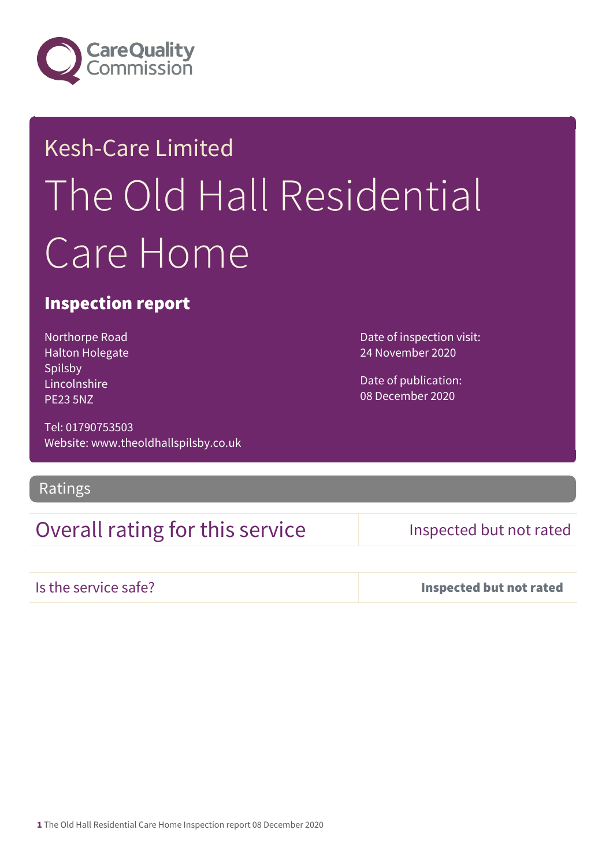

# Kesh-Care Limited The Old Hall Residential Care Home

#### Inspection report

Northorpe Road Halton Holegate Spilsby Lincolnshire PE23 5NZ

Tel: 01790753503 Website: www.theoldhallspilsby.co.uk

#### Ratings

### Overall rating for this service Inspected but not rated

Date of inspection visit: 24 November 2020

Date of publication: 08 December 2020

Is the service safe? Inspected but not rated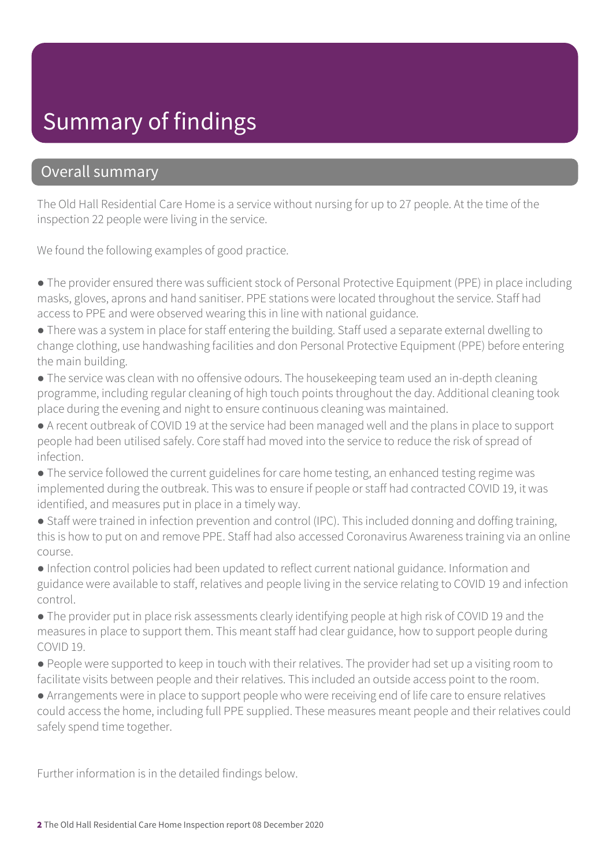# Summary of findings

#### Overall summary

The Old Hall Residential Care Home is a service without nursing for up to 27 people. At the time of the inspection 22 people were living in the service.

We found the following examples of good practice.

- The provider ensured there was sufficient stock of Personal Protective Equipment (PPE) in place including masks, gloves, aprons and hand sanitiser. PPE stations were located throughout the service. Staff had access to PPE and were observed wearing this in line with national guidance.
- There was a system in place for staff entering the building. Staff used a separate external dwelling to change clothing, use handwashing facilities and don Personal Protective Equipment (PPE) before entering the main building.
- The service was clean with no offensive odours. The housekeeping team used an in-depth cleaning programme, including regular cleaning of high touch points throughout the day. Additional cleaning took place during the evening and night to ensure continuous cleaning was maintained.
- A recent outbreak of COVID 19 at the service had been managed well and the plans in place to support people had been utilised safely. Core staff had moved into the service to reduce the risk of spread of infection.
- The service followed the current guidelines for care home testing, an enhanced testing regime was implemented during the outbreak. This was to ensure if people or staff had contracted COVID 19, it was identified, and measures put in place in a timely way.
- Staff were trained in infection prevention and control (IPC). This included donning and doffing training, this is how to put on and remove PPE. Staff had also accessed Coronavirus Awareness training via an online course.
- Infection control policies had been updated to reflect current national guidance. Information and guidance were available to staff, relatives and people living in the service relating to COVID 19 and infection control.
- The provider put in place risk assessments clearly identifying people at high risk of COVID 19 and the measures in place to support them. This meant staff had clear guidance, how to support people during COVID 19.
- People were supported to keep in touch with their relatives. The provider had set up a visiting room to facilitate visits between people and their relatives. This included an outside access point to the room.
- Arrangements were in place to support people who were receiving end of life care to ensure relatives could access the home, including full PPE supplied. These measures meant people and their relatives could safely spend time together.

Further information is in the detailed findings below.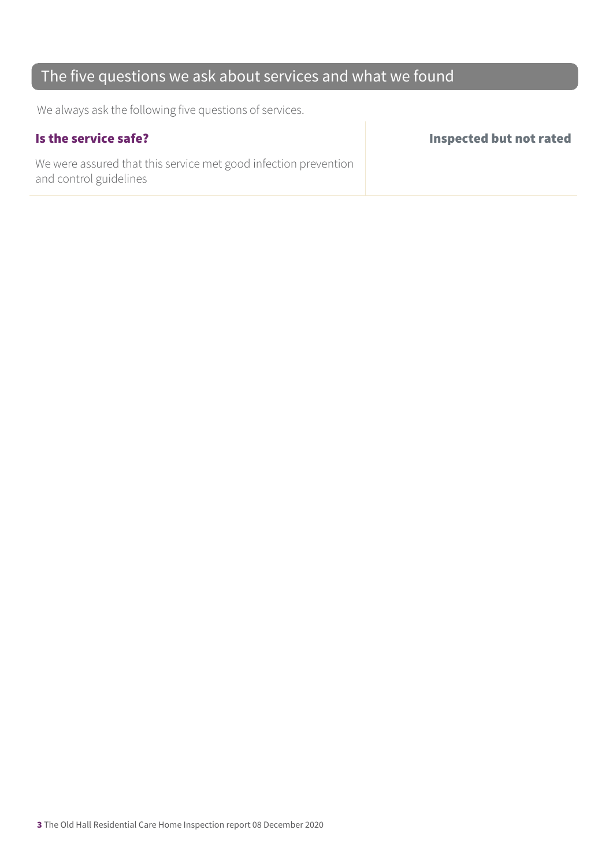### The five questions we ask about services and what we found

We always ask the following five questions of services.

We were assured that this service met good infection prevention and control guidelines

Is the service safe? Inspected but not rated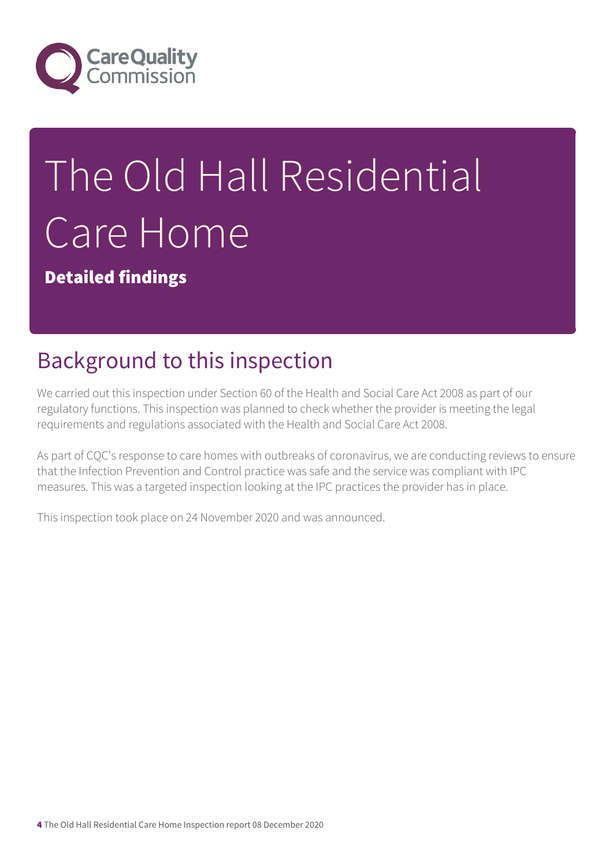

# The Old Hall Residential Care Home

Detailed findings

# Background to this inspection

We carried out this inspection under Section 60 of the Health and Social Care Act 2008 as part of our regulatory functions. This inspection was planned to check whether the provider is meeting the legal requirements and regulations associated with the Health and Social Care Act 2008.

As part of CQC's response to care homes with outbreaks of coronavirus, we are conducting reviews to ensure that the Infection Prevention and Control practice was safe and the service was compliant with IPC measures. This was a targeted inspection looking at the IPC practices the provider has in place.

This inspection took place on 24 November 2020 and was announced.